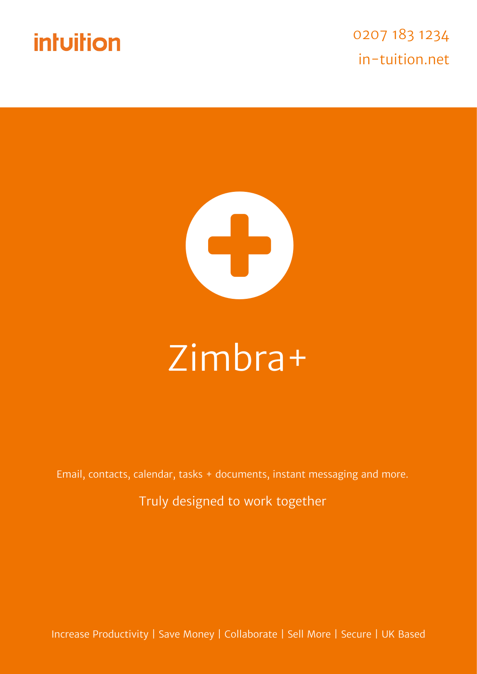



# Zimbra+

Email, contacts, calendar, tasks + documents, instant messaging and more.

Truly designed to work together

Increase Productivity | Save Money | Collaborate | Sell More | Secure | UK Based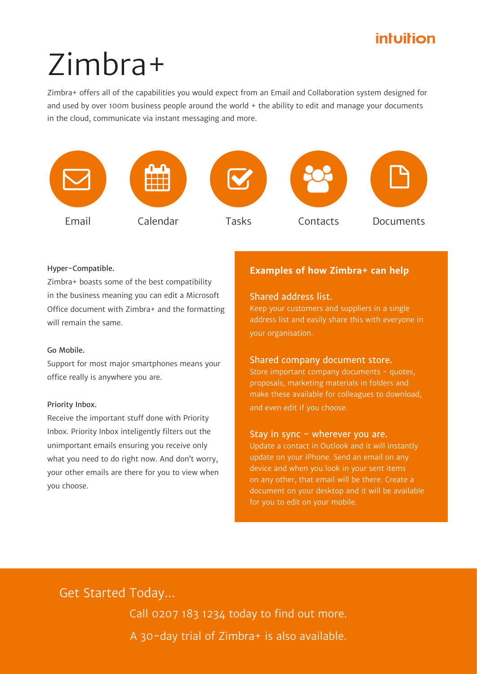# Zimbra+

Zimbra+ offers all of the capabilities you would expect from an Email and Collaboration system designed for and used by over 100m business people around the world + the ability to edit and manage your documents in the cloud, communicate via instant messaging and more.



### Hyper-Compatible.

Zimbra+ boasts some of the best compatibility in the business meaning you can edit a Microsoft Office document with Zimbra+ and the formatting will remain the same.

## Go Mobile.

Support for most major smartphones means your office really is anywhere you are.

### Priority Inbox.

Receive the important stuff done with Priority Inbox. Priority Inbox inteligently filters out the unimportant emails ensuring you receive only what you need to do right now. And don't worry, your other emails are there for you to view when you choose.

## **Examples of how Zimbra+ can help**

## Shared address list.

Keep your customers and suppliers in a single address list and easily share this with everyone in your organisation.

## Shared company document store.

Store important company documents - quotes, proposals, marketing materials in folders and make these available for colleagues to download, and even edit if you choose.

## Stay in sync - wherever you are.

Update a contact in Outlook and it will instantly update on your iPhone. Send an email on any device and when you look in your sent items on any other, that email will be there. Create a document on your desktop and it will be available for you to edit on your mobile.

## Get Started Today...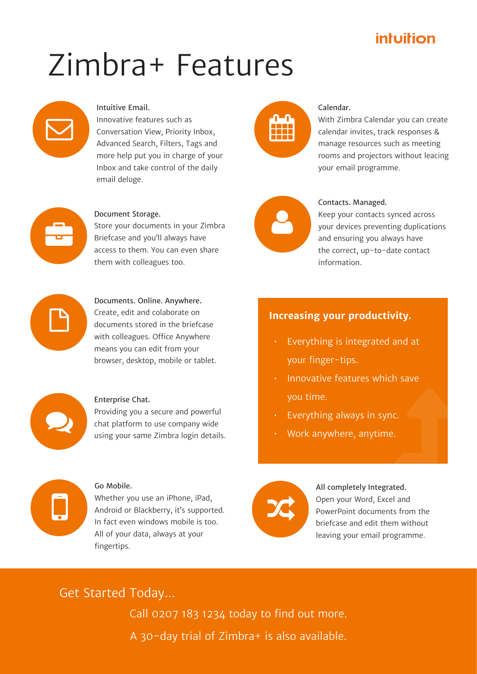# Zimbra+ Features



## Intuitive Email.

Innovative features such as Conversation View, Priority Inbox, Advanced Search, Filters, Tags and more help put you in charge of your Inbox and take control of the daily email deluge.



## Calendar.

With Zimbra Calendar you can create calendar invites, track responses & manage resources such as meeting rooms and projectors without leacing your email programme.



#### Document Storage.

Store your documents in your Zimbra Briefcase and you'll always have access to them. You can even share them with colleagues too.



Documents. Online. Anywhere. Create, edit and colaborate on documents stored in the briefcase with colleagues. Office Anywhere means you can edit from your browser, desktop, mobile or tablet.



#### Enterprise Chat.

Providing you a secure and powerful chat platform to use company wide using your same Zimbra login details.

# $\Box$

## Go Mobile.

Whether you use an iPhone, iPad, Android or Blackberry, it's supported. In fact even windows mobile is too. All of your data, always at your fingertips.



## Contacts. Managed.

Keep your contacts synced across your devices preventing duplications and ensuring you always have the correct, up-to-date contact information.

## **Increasing your productivity.**

- Everything is integrated and at your finger-tips.
- • Innovative features which save you time.
- Everything always in sync.
- Work anywhere, anytime.



#### All completely Integrated.

Open your Word, Excel and PowerPoint documents from the briefcase and edit them without leaving your email programme.

## Get Started Today...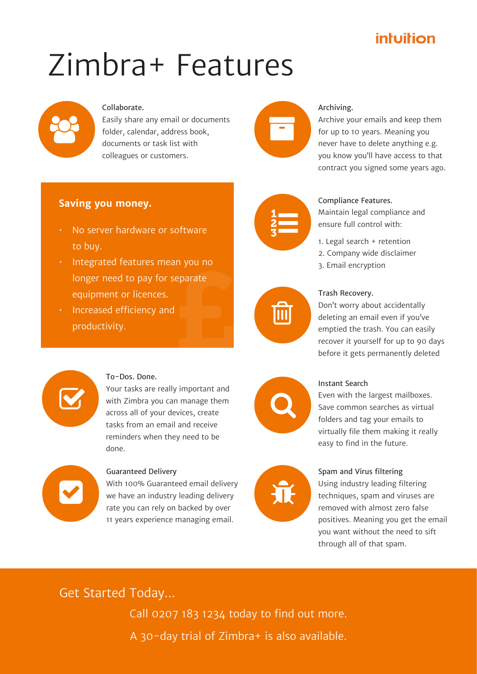# Zimbra+ Features



## Collaborate.

Easily share any email or documents folder, calendar, address book, documents or task list with colleagues or customers.



## Archiving.

Archive your emails and keep them for up to 10 years. Meaning you never have to delete anything e.g. you know you'll have access to that contract you signed some years ago.

## **Saving you money.**

- No server hardware or software to buy.
- $\frac{1}{2}$  parate • Integrated features mean you no longer need to pay for separate equipment or licences.
- Increased efficiency and productivity.



## Compliance Features.

Maintain legal compliance and ensure full control with:

- 1. Legal search + retention
- 2. Company wide disclaimer
- 3. Email encryption



### Trash Recovery.

Don't worry about accidentally deleting an email even if you've emptied the trash. You can easily recover it yourself for up to 90 days before it gets permanently deleted



### To-Dos. Done.

Your tasks are really important and with Zimbra you can manage them across all of your devices, create tasks from an email and receive reminders when they need to be done.



## Guaranteed Delivery

With 100% Guaranteed email delivery we have an industry leading delivery rate you can rely on backed by over 11 years experience managing email.



兼

#### Instant Search

Even with the largest mailboxes. Save common searches as virtual folders and tag your emails to virtually file them making it really easy to find in the future.

## Spam and Virus filtering

Using industry leading filtering techniques, spam and viruses are removed with almost zero false positives. Meaning you get the email you want without the need to sift through all of that spam.

## Get Started Today...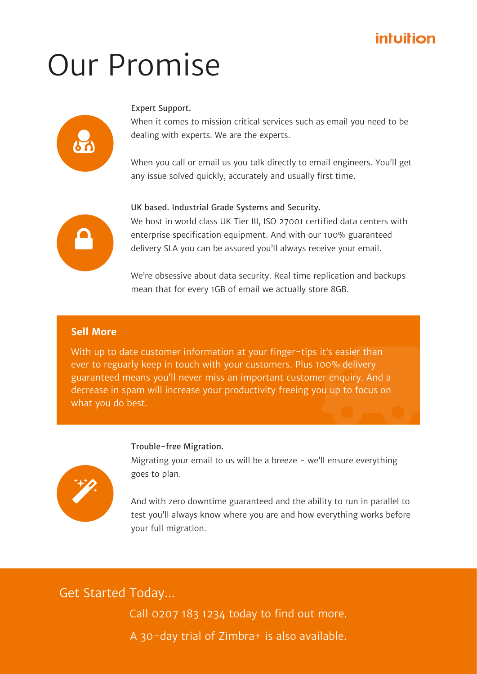## Our Promise



## Expert Support.

When it comes to mission critical services such as email you need to be dealing with experts. We are the experts.

When you call or email us you talk directly to email engineers. You'll get any issue solved quickly, accurately and usually first time.



## UK based. Industrial Grade Systems and Security.

We host in world class UK Tier III, ISO 27001 certified data centers with enterprise specification equipment. And with our 100% guaranteed delivery SLA you can be assured you'll always receive your email.

We're obsessive about data security. Real time replication and backups mean that for every 1GB of email we actually store 8GB.

## **Sell More**

it's easier than<br>
100% delivery<br>
er enquiry. And a<br>
bu up to focus on With up to date customer information at your finger-tips it's easier than ever to reguarly keep in touch with your customers. Plus 100% delivery guaranteed means you'll never miss an important customer enquiry. And a decrease in spam will increase your productivity freeing you up to focus on what you do best.

## Trouble-free Migration.



Migrating your email to us will be a breeze  $-$  we'll ensure everything goes to plan.

And with zero downtime guaranteed and the ability to run in parallel to test you'll always know where you are and how everything works before your full migration.

Get Started Today...